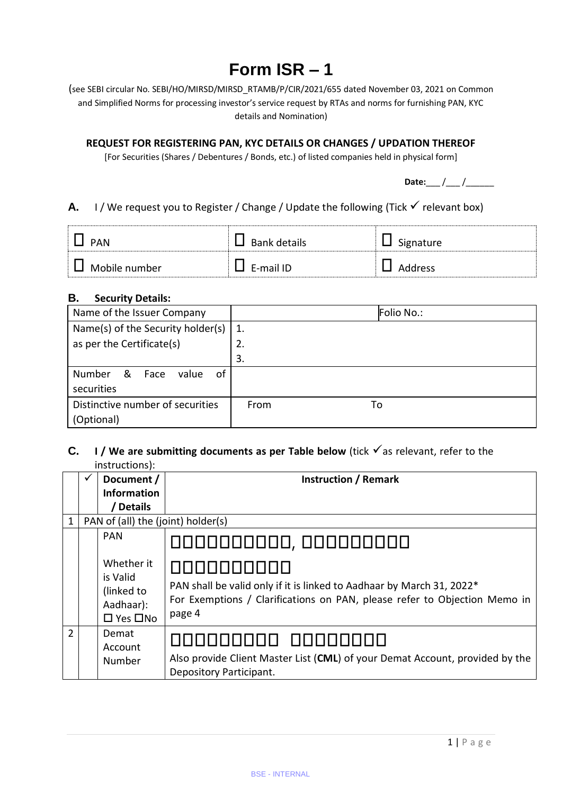# **Form ISR – 1**

(see SEBI circular No. SEBI/HO/MIRSD/MIRSD\_RTAMB/P/CIR/2021/655 dated November 03, 2021 on Common and Simplified Norms for processing investor's service request by RTAs and norms for furnishing PAN, KYC details and Nomination)

# **REQUEST FOR REGISTERING PAN, KYC DETAILS OR CHANGES / UPDATION THEREOF**

[For Securities (Shares / Debentures / Bonds, etc.) of listed companies held in physical form]

**Date:** / /

# **A.** I/ We request you to Register / Change / Update the following (Tick  $\checkmark$  relevant box)

| <b>PAN</b>    | Bank details | Signature |
|---------------|--------------|-----------|
| Mobile number | E-mail ID    | Address   |

#### **B. Security Details:**

| Name of the Issuer Company                 |            | Folio No.: |
|--------------------------------------------|------------|------------|
| Name(s) of the Security holder(s)          | 1.         |            |
| as per the Certificate(s)                  | 2.         |            |
|                                            | 3.         |            |
| 0f<br><b>Number</b><br>_&<br>value<br>Face |            |            |
| securities                                 |            |            |
| Distinctive number of securities           | From<br>To |            |
| (Optional)                                 |            |            |

# **C. I** / We are submitting documents as per Table below (tick  $\checkmark$  as relevant, refer to the instructions):

|               | <br>Document /                                                            | <b>Instruction / Remark</b>                                                                                                                                                |
|---------------|---------------------------------------------------------------------------|----------------------------------------------------------------------------------------------------------------------------------------------------------------------------|
|               | <b>Information</b>                                                        |                                                                                                                                                                            |
|               | <b>Details</b>                                                            |                                                                                                                                                                            |
| 1             | PAN of (all) the (joint) holder(s)                                        |                                                                                                                                                                            |
|               | PAN                                                                       | 0000000000, 000000000                                                                                                                                                      |
|               | Whether it<br>is Valid<br>(linked to<br>Aadhaar):<br>$\Box$ Yes $\Box$ No | 0000000000<br>PAN shall be valid only if it is linked to Aadhaar by March 31, 2022*<br>For Exemptions / Clarifications on PAN, please refer to Objection Memo in<br>page 4 |
| $\mathcal{P}$ | Demat<br>Account<br>Number                                                | 000000000 00000000<br>Also provide Client Master List (CML) of your Demat Account, provided by the<br>Depository Participant.                                              |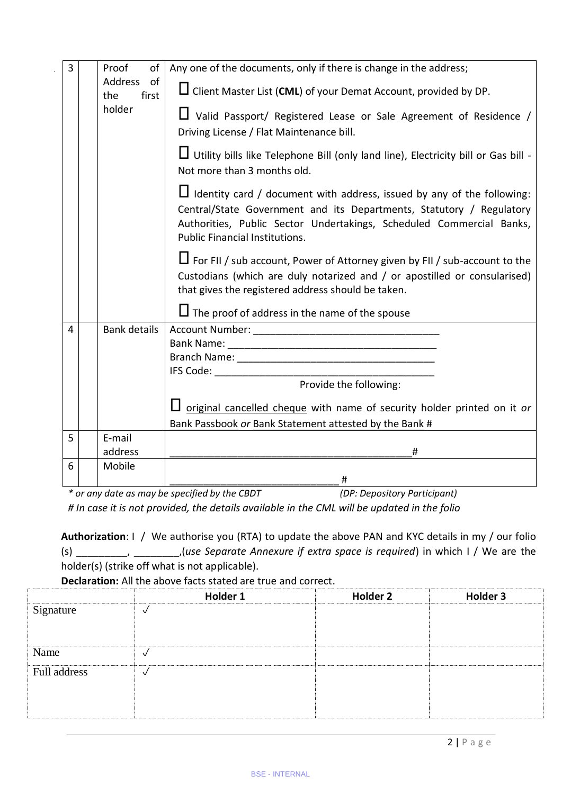| $\overline{3}$ | Proof<br>of                   | Any one of the documents, only if there is change in the address;                                                                                                                                                                                               |
|----------------|-------------------------------|-----------------------------------------------------------------------------------------------------------------------------------------------------------------------------------------------------------------------------------------------------------------|
|                | Address<br>of<br>first<br>the | $\Box$ Client Master List (CML) of your Demat Account, provided by DP.                                                                                                                                                                                          |
|                | holder                        | $\Box$ Valid Passport/ Registered Lease or Sale Agreement of Residence /<br>Driving License / Flat Maintenance bill.                                                                                                                                            |
|                |                               | Utility bills like Telephone Bill (only land line), Electricity bill or Gas bill -<br>Not more than 3 months old.                                                                                                                                               |
|                |                               | $\Box$ Identity card / document with address, issued by any of the following:<br>Central/State Government and its Departments, Statutory / Regulatory<br>Authorities, Public Sector Undertakings, Scheduled Commercial Banks,<br>Public Financial Institutions. |
|                |                               | $\Box$ For FII / sub account, Power of Attorney given by FII / sub-account to the<br>Custodians (which are duly notarized and / or apostilled or consularised)<br>that gives the registered address should be taken.                                            |
|                |                               | $\Box$ The proof of address in the name of the spouse                                                                                                                                                                                                           |
| 4              | <b>Bank details</b>           |                                                                                                                                                                                                                                                                 |
|                |                               |                                                                                                                                                                                                                                                                 |
|                |                               |                                                                                                                                                                                                                                                                 |
|                |                               | Provide the following:                                                                                                                                                                                                                                          |
|                |                               |                                                                                                                                                                                                                                                                 |
|                |                               | original cancelled cheque with name of security holder printed on it or                                                                                                                                                                                         |
|                |                               | Bank Passbook or Bank Statement attested by the Bank #                                                                                                                                                                                                          |
| 5              | E-mail                        |                                                                                                                                                                                                                                                                 |
|                | address                       | #                                                                                                                                                                                                                                                               |
| 6              | Mobile                        |                                                                                                                                                                                                                                                                 |
|                |                               | $*$ as sure data so may be specified by the CDDT<br>(DD, Dana)                                                                                                                                                                                                  |

*\* or any date as may be specified by the CBDT (DP: Depository Participant) # In case it is not provided, the details available in the CML will be updated in the folio*

**Authorization**: I / We authorise you (RTA) to update the above PAN and KYC details in my / our folio (s) \_\_\_\_\_\_\_\_\_, \_\_\_\_\_\_\_\_,(*use Separate Annexure if extra space is required*) in which I / We are the holder(s) (strike off what is not applicable).

**Declaration:** All the above facts stated are true and correct.

|              | Holder 1 | Holder 2 | Holder 3 |
|--------------|----------|----------|----------|
| Signature    |          |          |          |
|              |          |          |          |
|              |          |          |          |
| Name         |          |          |          |
| Full address |          |          |          |
|              |          |          |          |
|              |          |          |          |
|              |          |          |          |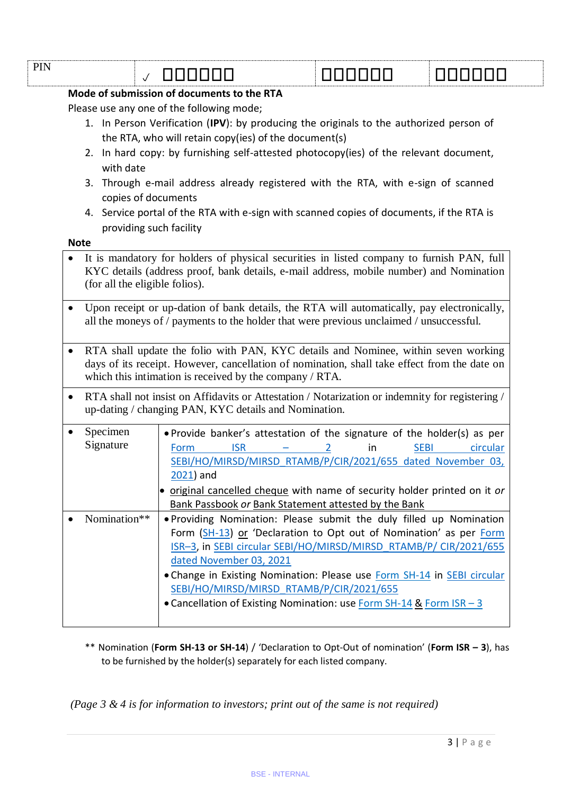|                                                                                                                                                                                       | $\checkmark$                                                                                                                                                                                                                                           | 888888                                                                                                | <u>LILIN LILIN U</u>                                                                                                                                                                                                                                                                                                                                                                                          |                         |
|---------------------------------------------------------------------------------------------------------------------------------------------------------------------------------------|--------------------------------------------------------------------------------------------------------------------------------------------------------------------------------------------------------------------------------------------------------|-------------------------------------------------------------------------------------------------------|---------------------------------------------------------------------------------------------------------------------------------------------------------------------------------------------------------------------------------------------------------------------------------------------------------------------------------------------------------------------------------------------------------------|-------------------------|
|                                                                                                                                                                                       |                                                                                                                                                                                                                                                        | Mode of submission of documents to the RTA                                                            |                                                                                                                                                                                                                                                                                                                                                                                                               |                         |
| Please use any one of the following mode;                                                                                                                                             |                                                                                                                                                                                                                                                        |                                                                                                       |                                                                                                                                                                                                                                                                                                                                                                                                               |                         |
|                                                                                                                                                                                       | 1. In Person Verification (IPV): by producing the originals to the authorized person of<br>the RTA, who will retain copy(ies) of the document(s)<br>2. In hard copy: by furnishing self-attested photocopy(ies) of the relevant document,<br>with date |                                                                                                       |                                                                                                                                                                                                                                                                                                                                                                                                               |                         |
|                                                                                                                                                                                       |                                                                                                                                                                                                                                                        |                                                                                                       |                                                                                                                                                                                                                                                                                                                                                                                                               |                         |
|                                                                                                                                                                                       |                                                                                                                                                                                                                                                        |                                                                                                       |                                                                                                                                                                                                                                                                                                                                                                                                               |                         |
|                                                                                                                                                                                       | 3.                                                                                                                                                                                                                                                     |                                                                                                       |                                                                                                                                                                                                                                                                                                                                                                                                               |                         |
|                                                                                                                                                                                       |                                                                                                                                                                                                                                                        | Through e-mail address already registered with the RTA, with e-sign of scanned<br>copies of documents |                                                                                                                                                                                                                                                                                                                                                                                                               |                         |
|                                                                                                                                                                                       |                                                                                                                                                                                                                                                        |                                                                                                       | 4. Service portal of the RTA with e-sign with scanned copies of documents, if the RTA is                                                                                                                                                                                                                                                                                                                      |                         |
|                                                                                                                                                                                       | providing such facility                                                                                                                                                                                                                                |                                                                                                       |                                                                                                                                                                                                                                                                                                                                                                                                               |                         |
|                                                                                                                                                                                       | <b>Note</b>                                                                                                                                                                                                                                            |                                                                                                       |                                                                                                                                                                                                                                                                                                                                                                                                               |                         |
|                                                                                                                                                                                       | (for all the eligible folios).                                                                                                                                                                                                                         |                                                                                                       | It is mandatory for holders of physical securities in listed company to furnish PAN, full<br>KYC details (address proof, bank details, e-mail address, mobile number) and Nomination                                                                                                                                                                                                                          |                         |
| Upon receipt or up-dation of bank details, the RTA will automatically, pay electronically,<br>all the moneys of / payments to the holder that were previous unclaimed / unsuccessful. |                                                                                                                                                                                                                                                        |                                                                                                       |                                                                                                                                                                                                                                                                                                                                                                                                               |                         |
| ٠                                                                                                                                                                                     | RTA shall update the folio with PAN, KYC details and Nominee, within seven working<br>days of its receipt. However, cancellation of nomination, shall take effect from the date on<br>which this intimation is received by the company $/$ RTA.        |                                                                                                       |                                                                                                                                                                                                                                                                                                                                                                                                               |                         |
|                                                                                                                                                                                       |                                                                                                                                                                                                                                                        | up-dating / changing PAN, KYC details and Nomination.                                                 | RTA shall not insist on Affidavits or Attestation / Notarization or indemnity for registering /                                                                                                                                                                                                                                                                                                               |                         |
|                                                                                                                                                                                       | Specimen<br>Signature                                                                                                                                                                                                                                  | <b>ISR</b><br>Form<br>$2021$ ) and                                                                    | . Provide banker's attestation of the signature of the holder(s) as per<br>in<br><b>Contract Contract</b><br>$\overline{2}$<br>SEBI/HO/MIRSD/MIRSD RTAMB/P/CIR/2021/655 dated November 03,                                                                                                                                                                                                                    | <b>SEBI</b><br>circular |
|                                                                                                                                                                                       |                                                                                                                                                                                                                                                        |                                                                                                       | • original cancelled cheque with name of security holder printed on it or<br>Bank Passbook or Bank Statement attested by the Bank                                                                                                                                                                                                                                                                             |                         |
|                                                                                                                                                                                       | Nomination**                                                                                                                                                                                                                                           | dated November 03, 2021                                                                               | . Providing Nomination: Please submit the duly filled up Nomination<br>Form (SH-13) or 'Declaration to Opt out of Nomination' as per Form<br>ISR-3, in SEBI circular SEBI/HO/MIRSD/MIRSD RTAMB/P/ CIR/2021/655<br>• Change in Existing Nomination: Please use Form SH-14 in SEBI circular<br>SEBI/HO/MIRSD/MIRSD RTAMB/P/CIR/2021/655<br>• Cancellation of Existing Nomination: use Form SH-14 & Form ISR - 3 |                         |

\*\* Nomination (**Form SH-13 or SH-14**) / 'Declaration to Opt-Out of nomination' (**Form ISR – 3**), has to be furnished by the holder(s) separately for each listed company.

*(Page 3 & 4 is for information to investors; print out of the same is not required)*